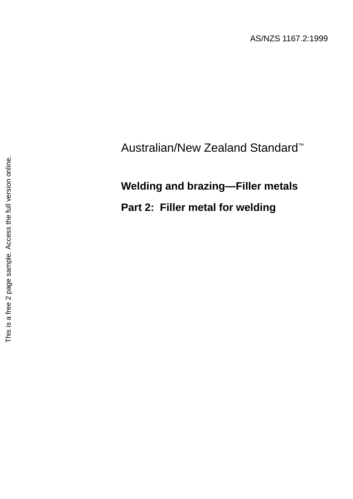AS/NZS 1167.2:1999

## Australian/New Zealand Standard™

## **Welding and brazing—Filler metals**

**Part 2: Filler metal for welding**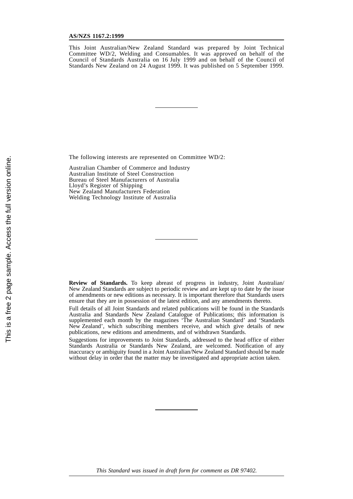This Joint Australian/New Zealand Standard was prepared by Joint Technical Committee WD/2, Welding and Consumables. It was approved on behalf of the Council of Standards Australia on 16 July 1999 and on behalf of the Council of Standards New Zealand on 24 August 1999. It was published on 5 September 1999.

The following interests are represented on Committee WD/2:

Australian Chamber of Commerce and Industry Australian Institute of Steel Construction Bureau of Steel Manufacturers of Australia Lloyd's Register of Shipping New Zealand Manufacturers Federation Welding Technology Institute of Australia

**Review of Standards.** To keep abreast of progress in industry, Joint Australian/ New Zealand Standards are subject to periodic review and are kept up to date by the issue of amendments or new editions as necessary. It is important therefore that Standards users ensure that they are in possession of the latest edition, and any amendments thereto.

Full details of all Joint Standards and related publications will be found in the Standards Australia and Standards New Zealand Catalogue of Publications; this information is supplemented each month by the magazines 'The Australian Standard' and 'Standards New Zealand', which subscribing members receive, and which give details of new publications, new editions and amendments, and of withdrawn Standards.

Suggestions for improvements to Joint Standards, addressed to the head office of either Standards Australia or Standards New Zealand, are welcomed. Notification of any inaccuracy or ambiguity found in a Joint Australian/New Zealand Standard should be made without delay in order that the matter may be investigated and appropriate action taken.